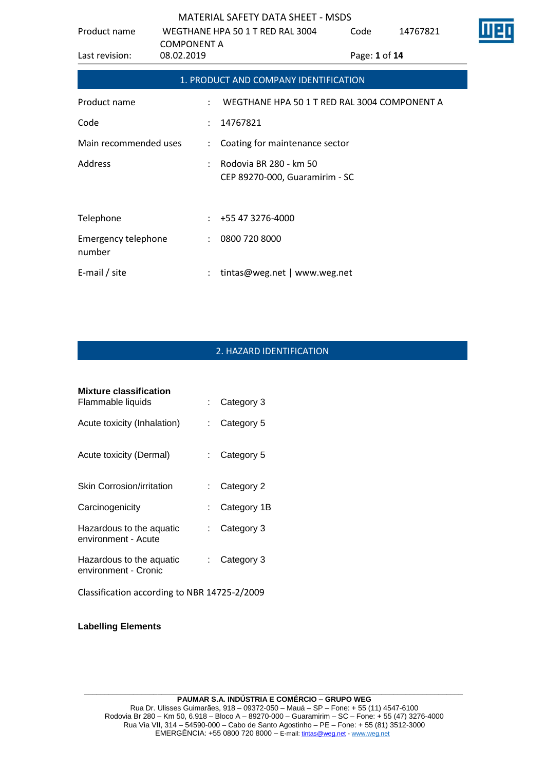| Product name                         | <b>COMPONENT A</b> | WEGTHANE HPA 50 1 T RED RAL 3004                         | Code          | 14767821 | н |
|--------------------------------------|--------------------|----------------------------------------------------------|---------------|----------|---|
| Last revision:                       | 08.02.2019         |                                                          | Page: 1 of 14 |          |   |
|                                      |                    | 1. PRODUCT AND COMPANY IDENTIFICATION                    |               |          |   |
| Product name                         |                    | WEGTHANE HPA 50 1 T RED RAL 3004 COMPONENT A             |               |          |   |
| Code                                 |                    | 14767821                                                 |               |          |   |
| Main recommended uses                |                    | Coating for maintenance sector                           |               |          |   |
| Address                              |                    | Rodovia BR 280 - km 50<br>CEP 89270-000, Guaramirim - SC |               |          |   |
| Telephone                            |                    | +55 47 3276-4000                                         |               |          |   |
| <b>Emergency telephone</b><br>number |                    | 0800 720 8000                                            |               |          |   |
| E-mail / site                        |                    | tintas@weg.net   www.weg.net                             |               |          |   |

# 2. HAZARD IDENTIFICATION

| <b>Mixture classification</b>                    |     |             |
|--------------------------------------------------|-----|-------------|
| Flammable liquids                                |     | Category 3  |
| Acute toxicity (Inhalation)                      |     | Category 5  |
| Acute toxicity (Dermal)                          | t.  | Category 5  |
| <b>Skin Corrosion/irritation</b>                 | t – | Category 2  |
| Carcinogenicity                                  |     | Category 1B |
| Hazardous to the aquatic<br>environment - Acute  | t.  | Category 3  |
| Hazardous to the aquatic<br>environment - Cronic | t.  | Category 3  |
| Classification according to NBR 14725-2/2009     |     |             |

**Labelling Elements**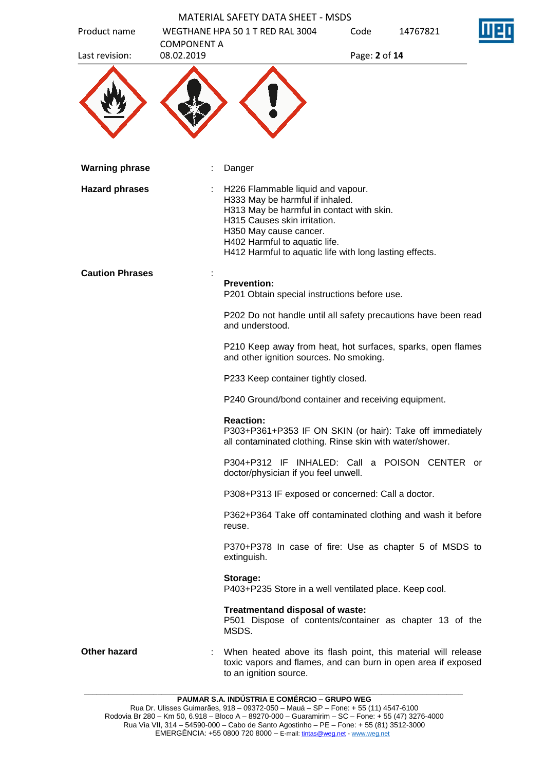| Product name           |                                  | <b>MATERIAL SAFETY DATA SHEET - MSDS</b><br>WEGTHANE HPA 50 1 T RED RAL 3004                                                                                                                                                                                            | Code          | 14767821 |  |
|------------------------|----------------------------------|-------------------------------------------------------------------------------------------------------------------------------------------------------------------------------------------------------------------------------------------------------------------------|---------------|----------|--|
| Last revision:         | <b>COMPONENT A</b><br>08.02.2019 |                                                                                                                                                                                                                                                                         | Page: 2 of 14 |          |  |
|                        |                                  |                                                                                                                                                                                                                                                                         |               |          |  |
| <b>Warning phrase</b>  |                                  | Danger                                                                                                                                                                                                                                                                  |               |          |  |
| <b>Hazard phrases</b>  |                                  | H226 Flammable liquid and vapour.<br>H333 May be harmful if inhaled.<br>H313 May be harmful in contact with skin.<br>H315 Causes skin irritation.<br>H350 May cause cancer.<br>H402 Harmful to aquatic life.<br>H412 Harmful to aquatic life with long lasting effects. |               |          |  |
| <b>Caution Phrases</b> |                                  | <b>Prevention:</b><br>P201 Obtain special instructions before use.                                                                                                                                                                                                      |               |          |  |
|                        |                                  | P202 Do not handle until all safety precautions have been read<br>and understood.                                                                                                                                                                                       |               |          |  |
|                        |                                  | P210 Keep away from heat, hot surfaces, sparks, open flames<br>and other ignition sources. No smoking.                                                                                                                                                                  |               |          |  |
|                        |                                  | P233 Keep container tightly closed.                                                                                                                                                                                                                                     |               |          |  |
|                        |                                  | P240 Ground/bond container and receiving equipment.                                                                                                                                                                                                                     |               |          |  |
|                        |                                  | <b>Reaction:</b><br>P303+P361+P353 IF ON SKIN (or hair): Take off immediately<br>all contaminated clothing. Rinse skin with water/shower.                                                                                                                               |               |          |  |
|                        |                                  | P304+P312 IF INHALED: Call a POISON CENTER or<br>doctor/physician if you feel unwell.                                                                                                                                                                                   |               |          |  |
|                        |                                  | P308+P313 IF exposed or concerned: Call a doctor.                                                                                                                                                                                                                       |               |          |  |
|                        |                                  | P362+P364 Take off contaminated clothing and wash it before<br>reuse.                                                                                                                                                                                                   |               |          |  |
|                        |                                  | P370+P378 In case of fire: Use as chapter 5 of MSDS to<br>extinguish.                                                                                                                                                                                                   |               |          |  |
|                        |                                  | Storage:<br>P403+P235 Store in a well ventilated place. Keep cool.                                                                                                                                                                                                      |               |          |  |
|                        |                                  | Treatmentand disposal of waste:<br>P501 Dispose of contents/container as chapter 13 of the<br>MSDS.                                                                                                                                                                     |               |          |  |
| <b>Other hazard</b>    |                                  | When heated above its flash point, this material will release<br>toxic vapors and flames, and can burn in open area if exposed<br>to an ignition source.                                                                                                                |               |          |  |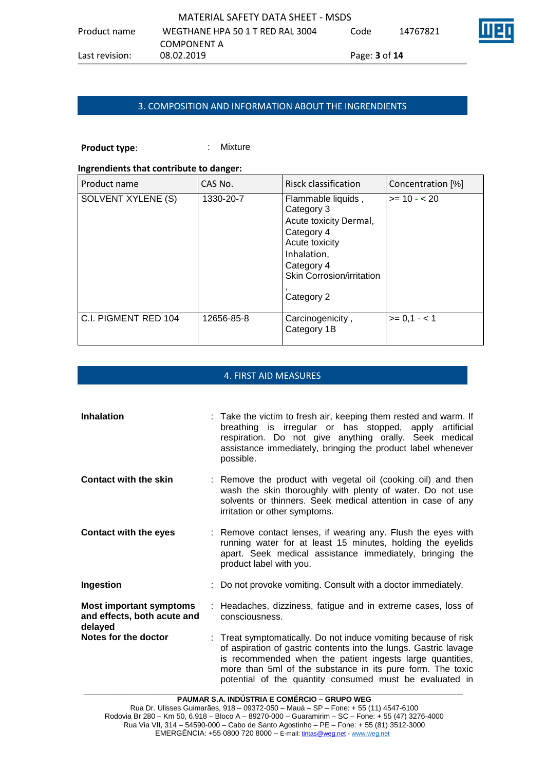## 3. COMPOSITION AND INFORMATION ABOUT THE INGRENDIENTS

## **Product type:** : : : : : : Mixture

## **Ingrendients that contribute to danger:**

| Product name         | CAS No.    | Risck classification                                                                                                                                               | Concentration [%] |
|----------------------|------------|--------------------------------------------------------------------------------------------------------------------------------------------------------------------|-------------------|
| SOLVENT XYLENE (S)   | 1330-20-7  | Flammable liquids,<br>Category 3<br>Acute toxicity Dermal,<br>Category 4<br>Acute toxicity<br>Inhalation,<br>Category 4<br>Skin Corrosion/irritation<br>Category 2 | $>= 10 - 20$      |
| C.I. PIGMENT RED 104 | 12656-85-8 | Carcinogenicity,<br>Category 1B                                                                                                                                    | $>= 0.1 - 1$      |

### 4. FIRST AID MEASURES

| <b>Inhalation</b>                                                        | : Take the victim to fresh air, keeping them rested and warm. If<br>breathing is irregular or has stopped, apply artificial<br>respiration. Do not give anything orally. Seek medical<br>assistance immediately, bringing the product label whenever<br>possible.                                                         |
|--------------------------------------------------------------------------|---------------------------------------------------------------------------------------------------------------------------------------------------------------------------------------------------------------------------------------------------------------------------------------------------------------------------|
| <b>Contact with the skin</b>                                             | : Remove the product with vegetal oil (cooking oil) and then<br>wash the skin thoroughly with plenty of water. Do not use<br>solvents or thinners. Seek medical attention in case of any<br>irritation or other symptoms.                                                                                                 |
| <b>Contact with the eyes</b>                                             | : Remove contact lenses, if wearing any. Flush the eyes with<br>running water for at least 15 minutes, holding the eyelids<br>apart. Seek medical assistance immediately, bringing the<br>product label with you.                                                                                                         |
| Ingestion                                                                | : Do not provoke vomiting. Consult with a doctor immediately.                                                                                                                                                                                                                                                             |
| <b>Most important symptoms</b><br>and effects, both acute and<br>delayed | : Headaches, dizziness, fatigue and in extreme cases, loss of<br>consciousness.                                                                                                                                                                                                                                           |
| Notes for the doctor                                                     | : Treat symptomatically. Do not induce vomiting because of risk<br>of aspiration of gastric contents into the lungs. Gastric lavage<br>is recommended when the patient ingests large quantities,<br>more than 5ml of the substance in its pure form. The toxic<br>potential of the quantity consumed must be evaluated in |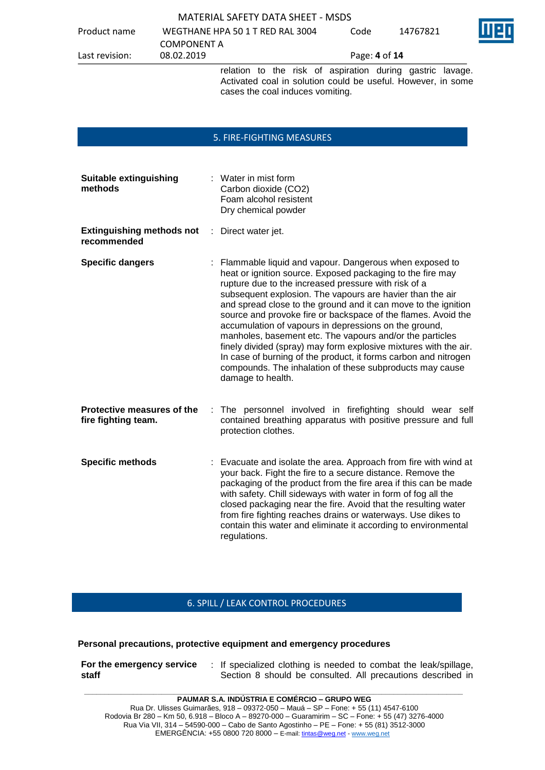| Product name   | WEGTHANE HPA 50 1 T RED RAL 3004<br><b>COMPONENT A</b>                                                                                                        | Code          | 14767821 | <u> Men</u> |
|----------------|---------------------------------------------------------------------------------------------------------------------------------------------------------------|---------------|----------|-------------|
| Last revision: | 08.02.2019                                                                                                                                                    | Page: 4 of 14 |          |             |
|                | relation to the risk of aspiration during gastric lavage.<br>Activated coal in solution could be useful. However, in some<br>cases the coal induces vomiting. |               |          |             |

## 5. FIRE-FIGHTING MEASURES

| <b>Suitable extinguishing</b><br>methods          |    | : Water in mist form<br>Carbon dioxide (CO2)<br>Foam alcohol resistent<br>Dry chemical powder                                                                                                                                                                                                                                                                                                                                                                                                                                                                                                                                                                                                                               |
|---------------------------------------------------|----|-----------------------------------------------------------------------------------------------------------------------------------------------------------------------------------------------------------------------------------------------------------------------------------------------------------------------------------------------------------------------------------------------------------------------------------------------------------------------------------------------------------------------------------------------------------------------------------------------------------------------------------------------------------------------------------------------------------------------------|
| <b>Extinguishing methods not</b><br>recommended   |    | : Direct water jet.                                                                                                                                                                                                                                                                                                                                                                                                                                                                                                                                                                                                                                                                                                         |
| <b>Specific dangers</b>                           |    | : Flammable liquid and vapour. Dangerous when exposed to<br>heat or ignition source. Exposed packaging to the fire may<br>rupture due to the increased pressure with risk of a<br>subsequent explosion. The vapours are havier than the air<br>and spread close to the ground and it can move to the ignition<br>source and provoke fire or backspace of the flames. Avoid the<br>accumulation of vapours in depressions on the ground,<br>manholes, basement etc. The vapours and/or the particles<br>finely divided (spray) may form explosive mixtures with the air.<br>In case of burning of the product, it forms carbon and nitrogen<br>compounds. The inhalation of these subproducts may cause<br>damage to health. |
| Protective measures of the<br>fire fighting team. | ÷. | The personnel involved in firefighting should wear self<br>contained breathing apparatus with positive pressure and full<br>protection clothes.                                                                                                                                                                                                                                                                                                                                                                                                                                                                                                                                                                             |
| <b>Specific methods</b>                           |    | : Evacuate and isolate the area. Approach from fire with wind at<br>your back. Fight the fire to a secure distance. Remove the<br>packaging of the product from the fire area if this can be made<br>with safety. Chill sideways with water in form of fog all the<br>closed packaging near the fire. Avoid that the resulting water<br>from fire fighting reaches drains or waterways. Use dikes to<br>contain this water and eliminate it according to environmental<br>regulations.                                                                                                                                                                                                                                      |

## 6. SPILL / LEAK CONTROL PROCEDURES

## **Personal precautions, protective equipment and emergency procedures**

**For the emergency service staff** : If specialized clothing is needed to combat the leak/spillage, Section 8 should be consulted. All precautions described in

**PAUMAR S.A. INDÚSTRIA E COMÉRCIO – GRUPO WEG** Rua Dr. Ulisses Guimarães, 918 – 09372-050 – Mauá – SP – Fone: + 55 (11) 4547-6100 Rodovia Br 280 – Km 50, 6.918 – Bloco A – 89270-000 – Guaramirim – SC – Fone: + 55 (47) 3276-4000 Rua Via VII, 314 – 54590-000 – Cabo de Santo Agostinho – PE – Fone: + 55 (81) 3512-3000 EMERGËNCIA: +55 0800 720 8000 – E-mail[: tintas@weg.net](mailto:tintas@weg.net) - [www.weg.net](http://www.weg.net/)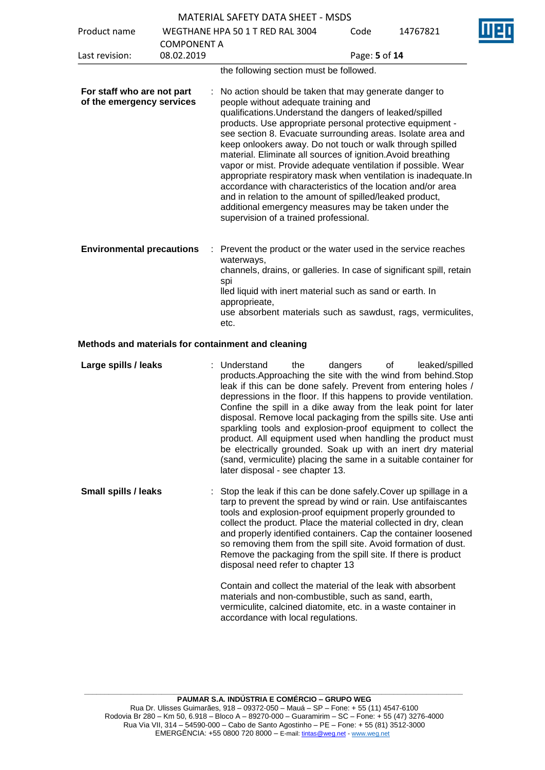|                                                         |             | MATERIAL SAFETY DATA SHEET - MSDS                                                                                                                                                                                                                                                                                                                                                                                                                                                                                                                                                                                                                                                                                                                                                  |               |          |
|---------------------------------------------------------|-------------|------------------------------------------------------------------------------------------------------------------------------------------------------------------------------------------------------------------------------------------------------------------------------------------------------------------------------------------------------------------------------------------------------------------------------------------------------------------------------------------------------------------------------------------------------------------------------------------------------------------------------------------------------------------------------------------------------------------------------------------------------------------------------------|---------------|----------|
| Product name                                            |             | WEGTHANE HPA 50 1 T RED RAL 3004                                                                                                                                                                                                                                                                                                                                                                                                                                                                                                                                                                                                                                                                                                                                                   | Code          | 14767821 |
|                                                         | COMPONENT A |                                                                                                                                                                                                                                                                                                                                                                                                                                                                                                                                                                                                                                                                                                                                                                                    |               |          |
| Last revision:                                          | 08.02.2019  |                                                                                                                                                                                                                                                                                                                                                                                                                                                                                                                                                                                                                                                                                                                                                                                    | Page: 5 of 14 |          |
|                                                         |             | the following section must be followed.                                                                                                                                                                                                                                                                                                                                                                                                                                                                                                                                                                                                                                                                                                                                            |               |          |
| For staff who are not part<br>of the emergency services |             | No action should be taken that may generate danger to<br>people without adequate training and<br>qualifications. Understand the dangers of leaked/spilled<br>products. Use appropriate personal protective equipment -<br>see section 8. Evacuate surrounding areas. Isolate area and<br>keep onlookers away. Do not touch or walk through spilled<br>material. Eliminate all sources of ignition. Avoid breathing<br>vapor or mist. Provide adequate ventilation if possible. Wear<br>appropriate respiratory mask when ventilation is inadequate.In<br>accordance with characteristics of the location and/or area<br>and in relation to the amount of spilled/leaked product,<br>additional emergency measures may be taken under the<br>supervision of a trained professional. |               |          |
| <b>Environmental precautions</b>                        |             | Prevent the product or the water used in the service reaches<br>waterways,<br>channels, drains, or galleries. In case of significant spill, retain<br>spi<br>lled liquid with inert material such as sand or earth. In<br>approprieate,<br>use absorbent materials such as sawdust, rags, vermiculites,<br>etc.                                                                                                                                                                                                                                                                                                                                                                                                                                                                    |               |          |
|                                                         |             |                                                                                                                                                                                                                                                                                                                                                                                                                                                                                                                                                                                                                                                                                                                                                                                    |               |          |

#### **Methods and materials for containment and cleaning**

**Large spills / leaks** : Understand the dangers of leaked/spilled products.Approaching the site with the wind from behind.Stop leak if this can be done safely. Prevent from entering holes / depressions in the floor. If this happens to provide ventilation. Confine the spill in a dike away from the leak point for later disposal. Remove local packaging from the spills site. Use anti sparkling tools and explosion-proof equipment to collect the product. All equipment used when handling the product must be electrically grounded. Soak up with an inert dry material (sand, vermiculite) placing the same in a suitable container for later disposal - see chapter 13.

**Small spills / leaks** : Stop the leak if this can be done safely. Cover up spillage in a tarp to prevent the spread by wind or rain. Use antifaiscantes tools and explosion-proof equipment properly grounded to collect the product. Place the material collected in dry, clean and properly identified containers. Cap the container loosened so removing them from the spill site. Avoid formation of dust. Remove the packaging from the spill site. If there is product disposal need refer to chapter 13

> Contain and collect the material of the leak with absorbent materials and non-combustible, such as sand, earth, vermiculite, calcined diatomite, etc. in a waste container in accordance with local regulations.

**\_\_\_\_\_\_\_\_\_\_\_\_\_\_\_\_\_\_\_\_\_\_\_\_\_\_\_\_\_\_\_\_\_\_\_\_\_\_\_\_\_\_\_\_\_\_\_\_\_\_\_\_\_\_\_\_\_\_\_\_\_\_\_\_\_\_\_\_\_\_\_\_\_\_\_\_\_\_\_\_\_\_\_\_\_\_\_\_\_\_\_\_\_**

EMERGÊNCIA: +55 0800 720 8000 – E-mail[: tintas@weg.net](mailto:tintas@weg.net) - [www.weg.net](http://www.weg.net/)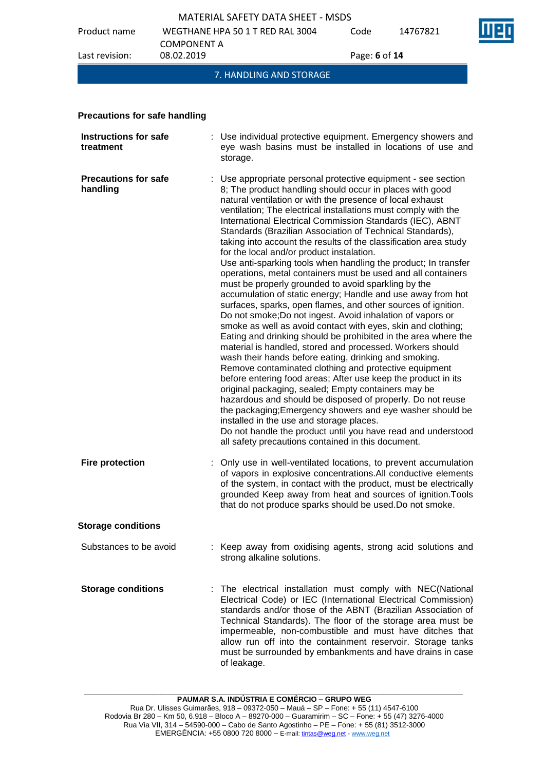|                                           |                                  | <b>MATERIAL SAFETY DATA SHEET - MSDS</b>                                                                                                                                                                                                                                                                                                                                                                                                                                                                                                                                                                                                                                                                                                                                                                                                                                                                                                                                                                                                                                                                                                                                                                                                                                                                                                                                                                                                                                                                                                                                                                                       |               |          |
|-------------------------------------------|----------------------------------|--------------------------------------------------------------------------------------------------------------------------------------------------------------------------------------------------------------------------------------------------------------------------------------------------------------------------------------------------------------------------------------------------------------------------------------------------------------------------------------------------------------------------------------------------------------------------------------------------------------------------------------------------------------------------------------------------------------------------------------------------------------------------------------------------------------------------------------------------------------------------------------------------------------------------------------------------------------------------------------------------------------------------------------------------------------------------------------------------------------------------------------------------------------------------------------------------------------------------------------------------------------------------------------------------------------------------------------------------------------------------------------------------------------------------------------------------------------------------------------------------------------------------------------------------------------------------------------------------------------------------------|---------------|----------|
| Product name                              |                                  | WEGTHANE HPA 50 1 T RED RAL 3004                                                                                                                                                                                                                                                                                                                                                                                                                                                                                                                                                                                                                                                                                                                                                                                                                                                                                                                                                                                                                                                                                                                                                                                                                                                                                                                                                                                                                                                                                                                                                                                               | Code          | 14767821 |
| Last revision:                            | <b>COMPONENT A</b><br>08.02.2019 |                                                                                                                                                                                                                                                                                                                                                                                                                                                                                                                                                                                                                                                                                                                                                                                                                                                                                                                                                                                                                                                                                                                                                                                                                                                                                                                                                                                                                                                                                                                                                                                                                                | Page: 6 of 14 |          |
|                                           |                                  | 7. HANDLING AND STORAGE                                                                                                                                                                                                                                                                                                                                                                                                                                                                                                                                                                                                                                                                                                                                                                                                                                                                                                                                                                                                                                                                                                                                                                                                                                                                                                                                                                                                                                                                                                                                                                                                        |               |          |
|                                           |                                  |                                                                                                                                                                                                                                                                                                                                                                                                                                                                                                                                                                                                                                                                                                                                                                                                                                                                                                                                                                                                                                                                                                                                                                                                                                                                                                                                                                                                                                                                                                                                                                                                                                |               |          |
|                                           |                                  |                                                                                                                                                                                                                                                                                                                                                                                                                                                                                                                                                                                                                                                                                                                                                                                                                                                                                                                                                                                                                                                                                                                                                                                                                                                                                                                                                                                                                                                                                                                                                                                                                                |               |          |
| <b>Precautions for safe handling</b>      |                                  |                                                                                                                                                                                                                                                                                                                                                                                                                                                                                                                                                                                                                                                                                                                                                                                                                                                                                                                                                                                                                                                                                                                                                                                                                                                                                                                                                                                                                                                                                                                                                                                                                                |               |          |
| <b>Instructions for safe</b><br>treatment |                                  | : Use individual protective equipment. Emergency showers and<br>eye wash basins must be installed in locations of use and<br>storage.                                                                                                                                                                                                                                                                                                                                                                                                                                                                                                                                                                                                                                                                                                                                                                                                                                                                                                                                                                                                                                                                                                                                                                                                                                                                                                                                                                                                                                                                                          |               |          |
| <b>Precautions for safe</b><br>handling   |                                  | Use appropriate personal protective equipment - see section<br>8; The product handling should occur in places with good<br>natural ventilation or with the presence of local exhaust<br>ventilation; The electrical installations must comply with the<br>International Electrical Commission Standards (IEC), ABNT<br>Standards (Brazilian Association of Technical Standards),<br>taking into account the results of the classification area study<br>for the local and/or product instalation.<br>Use anti-sparking tools when handling the product; In transfer<br>operations, metal containers must be used and all containers<br>must be properly grounded to avoid sparkling by the<br>accumulation of static energy; Handle and use away from hot<br>surfaces, sparks, open flames, and other sources of ignition.<br>Do not smoke; Do not ingest. Avoid inhalation of vapors or<br>smoke as well as avoid contact with eyes, skin and clothing;<br>Eating and drinking should be prohibited in the area where the<br>material is handled, stored and processed. Workers should<br>wash their hands before eating, drinking and smoking.<br>Remove contaminated clothing and protective equipment<br>before entering food areas; After use keep the product in its<br>original packaging, sealed; Empty containers may be<br>hazardous and should be disposed of properly. Do not reuse<br>the packaging; Emergency showers and eye washer should be<br>installed in the use and storage places.<br>Do not handle the product until you have read and understood<br>all safety precautions contained in this document. |               |          |
| <b>Fire protection</b>                    |                                  | : Only use in well-ventilated locations, to prevent accumulation<br>of vapors in explosive concentrations. All conductive elements<br>of the system, in contact with the product, must be electrically<br>grounded Keep away from heat and sources of ignition. Tools<br>that do not produce sparks should be used. Do not smoke.                                                                                                                                                                                                                                                                                                                                                                                                                                                                                                                                                                                                                                                                                                                                                                                                                                                                                                                                                                                                                                                                                                                                                                                                                                                                                              |               |          |
| <b>Storage conditions</b>                 |                                  |                                                                                                                                                                                                                                                                                                                                                                                                                                                                                                                                                                                                                                                                                                                                                                                                                                                                                                                                                                                                                                                                                                                                                                                                                                                                                                                                                                                                                                                                                                                                                                                                                                |               |          |
| Substances to be avoid                    |                                  | : Keep away from oxidising agents, strong acid solutions and<br>strong alkaline solutions.                                                                                                                                                                                                                                                                                                                                                                                                                                                                                                                                                                                                                                                                                                                                                                                                                                                                                                                                                                                                                                                                                                                                                                                                                                                                                                                                                                                                                                                                                                                                     |               |          |
| <b>Storage conditions</b>                 |                                  | : The electrical installation must comply with NEC(National<br>Electrical Code) or IEC (International Electrical Commission)<br>standards and/or those of the ABNT (Brazilian Association of<br>Technical Standards). The floor of the storage area must be<br>impermeable, non-combustible and must have ditches that<br>allow run off into the containment reservoir. Storage tanks<br>must be surrounded by embankments and have drains in case                                                                                                                                                                                                                                                                                                                                                                                                                                                                                                                                                                                                                                                                                                                                                                                                                                                                                                                                                                                                                                                                                                                                                                             |               |          |

of leakage.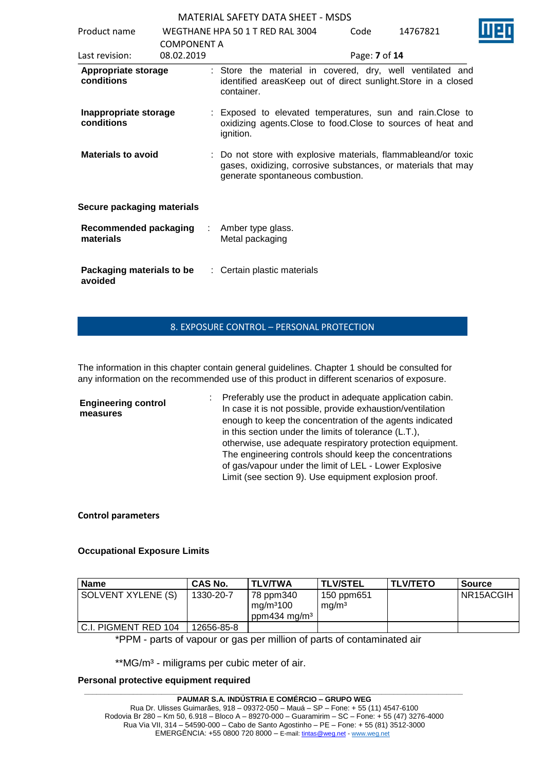| Product name                              |                                  | WEGTHANE HPA 50 1 T RED RAL 3004                                                                                                                                    | Code          | 14767821 | Ш |
|-------------------------------------------|----------------------------------|---------------------------------------------------------------------------------------------------------------------------------------------------------------------|---------------|----------|---|
| Last revision:                            | <b>COMPONENT A</b><br>08.02.2019 |                                                                                                                                                                     | Page: 7 of 14 |          |   |
| Appropriate storage<br>conditions         |                                  | : Store the material in covered, dry, well ventilated and<br>identified areasKeep out of direct sunlight. Store in a closed<br>container.                           |               |          |   |
| Inappropriate storage<br>conditions       |                                  | : Exposed to elevated temperatures, sun and rain. Close to<br>oxidizing agents. Close to food. Close to sources of heat and<br>ignition.                            |               |          |   |
| <b>Materials to avoid</b>                 |                                  | : Do not store with explosive materials, flammableand/or toxic<br>gases, oxidizing, corrosive substances, or materials that may<br>generate spontaneous combustion. |               |          |   |
| Secure packaging materials                |                                  |                                                                                                                                                                     |               |          |   |
| <b>Recommended packaging</b><br>materials | ÷                                | Amber type glass.<br>Metal packaging                                                                                                                                |               |          |   |
| Packaging materials to be<br>avoided      |                                  | : Certain plastic materials                                                                                                                                         |               |          |   |

## 8. EXPOSURE CONTROL – PERSONAL PROTECTION

The information in this chapter contain general guidelines. Chapter 1 should be consulted for any information on the recommended use of this product in different scenarios of exposure.

| <b>Engineering control</b><br>measures | Preferably use the product in adequate application cabin.<br>In case it is not possible, provide exhaustion/ventilation<br>enough to keep the concentration of the agents indicated<br>in this section under the limits of tolerance (L.T.), |
|----------------------------------------|----------------------------------------------------------------------------------------------------------------------------------------------------------------------------------------------------------------------------------------------|
|                                        | otherwise, use adequate respiratory protection equipment.<br>The engineering controls should keep the concentrations                                                                                                                         |
|                                        | of gas/vapour under the limit of LEL - Lower Explosive<br>Limit (see section 9). Use equipment explosion proof.                                                                                                                              |

#### **Control parameters**

## **Occupational Exposure Limits**

| <b>Name</b>          | CAS No.    | <b>TLV/TWA</b>                                                | <b>TLV/STEL</b>                 | <b>TLV/TETO</b> | Source                 |
|----------------------|------------|---------------------------------------------------------------|---------------------------------|-----------------|------------------------|
| SOLVENT XYLENE (S)   | 1330-20-7  | 78 ppm340<br>mg/m <sup>3100</sup><br>ppm434 mg/m <sup>3</sup> | 150 ppm651<br>ma/m <sup>3</sup> |                 | NR <sub>15</sub> ACGIH |
| C.I. PIGMENT RED 104 | 12656-85-8 |                                                               |                                 |                 |                        |

\*PPM - parts of vapour or gas per million of parts of contaminated air

\*\*MG/m<sup>3</sup> - miligrams per cubic meter of air.

#### **Personal protective equipment required**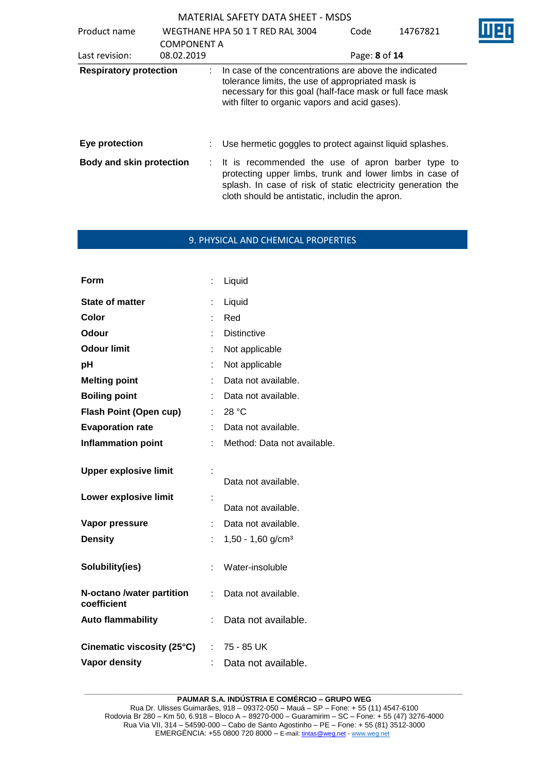| Product name                    |                                  | WEGTHANE HPA 50 1 T RED RAL 3004                                                                                                                                                                                                   | Code          | 14767821 |
|---------------------------------|----------------------------------|------------------------------------------------------------------------------------------------------------------------------------------------------------------------------------------------------------------------------------|---------------|----------|
| Last revision:                  | <b>COMPONENT A</b><br>08.02.2019 |                                                                                                                                                                                                                                    | Page: 8 of 14 |          |
| <b>Respiratory protection</b>   |                                  | : In case of the concentrations are above the indicated<br>tolerance limits, the use of appropriated mask is<br>necessary for this goal (half-face mask or full face mask<br>with filter to organic vapors and acid gases).        |               |          |
| Eye protection                  |                                  | Use hermetic goggles to protect against liquid splashes.                                                                                                                                                                           |               |          |
| <b>Body and skin protection</b> |                                  | : It is recommended the use of apron barber type to<br>protecting upper limbs, trunk and lower limbs in case of<br>splash. In case of risk of static electricity generation the<br>cloth should be antistatic, includin the apron. |               |          |

## 9. PHYSICAL AND CHEMICAL PROPERTIES

| <b>Form</b>                              |    | Liquid                          |
|------------------------------------------|----|---------------------------------|
| <b>State of matter</b>                   | t. | Liquid                          |
| Color                                    |    | Red                             |
| Odour                                    |    | <b>Distinctive</b>              |
| <b>Odour limit</b>                       |    | Not applicable                  |
| рH                                       |    | Not applicable                  |
| <b>Melting point</b>                     |    | Data not available.             |
| <b>Boiling point</b>                     |    | Data not available.             |
| <b>Flash Point (Open cup)</b>            |    | 28 °C                           |
| <b>Evaporation rate</b>                  |    | Data not available.             |
| <b>Inflammation point</b>                | t. | Method: Data not available.     |
| <b>Upper explosive limit</b>             |    | Data not available.             |
| Lower explosive limit                    |    | Data not available.             |
| Vapor pressure                           |    | Data not available.             |
| <b>Density</b>                           |    | $1,50 - 1,60$ g/cm <sup>3</sup> |
| Solubility(ies)                          |    | Water-insoluble                 |
| N-octano /water partition<br>coefficient | t. | Data not available.             |
| <b>Auto flammability</b>                 | t. | Data not available.             |
| Cinematic viscosity (25°C)               |    | $: 75 - 85$ UK                  |
| Vapor density                            |    | Data not available.             |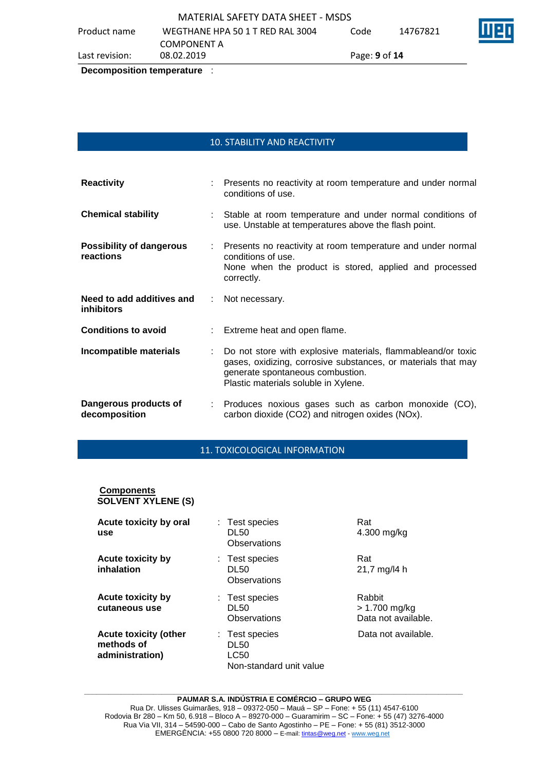| <b>MATERIAL SAFETY DATA SHEET - MSDS</b> |  |  |
|------------------------------------------|--|--|
|------------------------------------------|--|--|

Product name WEGTHANE HPA 50 1 T RED RAL 3004 COMPONENT A Code 14767821 Last revision: 08.02.2019 Page: **9** of **14**

**Decomposition temperature** :

## 10. STABILITY AND REACTIVITY

| <b>Reactivity</b>                              | Presents no reactivity at room temperature and under normal<br>conditions of use.                                                                                                                         |
|------------------------------------------------|-----------------------------------------------------------------------------------------------------------------------------------------------------------------------------------------------------------|
| <b>Chemical stability</b>                      | Stable at room temperature and under normal conditions of<br>use. Unstable at temperatures above the flash point.                                                                                         |
| <b>Possibility of dangerous</b><br>reactions   | : Presents no reactivity at room temperature and under normal<br>conditions of use.<br>None when the product is stored, applied and processed<br>correctly.                                               |
| Need to add additives and<br><b>inhibitors</b> | Not necessary.                                                                                                                                                                                            |
| <b>Conditions to avoid</b>                     | : Extreme heat and open flame.                                                                                                                                                                            |
| Incompatible materials                         | Do not store with explosive materials, flammableand/or toxic<br>gases, oxidizing, corrosive substances, or materials that may<br>generate spontaneous combustion.<br>Plastic materials soluble in Xylene. |
| Dangerous products of<br>decomposition         | : Produces noxious gases such as carbon monoxide (CO),<br>carbon dioxide (CO2) and nitrogen oxides (NOx).                                                                                                 |

## 11. TOXICOLOGICAL INFORMATION

### **Components SOLVENT XYLENE (S)**

| Acute toxicity by oral<br>use                                 | : Test species<br><b>DL50</b><br>Observations                    | Rat<br>4.300 mg/kg                             |
|---------------------------------------------------------------|------------------------------------------------------------------|------------------------------------------------|
| <b>Acute toxicity by</b><br>inhalation                        | : Test species<br><b>DL50</b><br>Observations                    | Rat<br>21,7 mg/l4 h                            |
| <b>Acute toxicity by</b><br>cutaneous use                     | : Test species<br><b>DL50</b><br>Observations                    | Rabbit<br>> 1.700 mg/kg<br>Data not available. |
| <b>Acute toxicity (other</b><br>methods of<br>administration) | : Test species<br><b>DL50</b><br>LC50<br>Non-standard unit value | Data not available.                            |

**PAUMAR S.A. INDÚSTRIA E COMÉRCIO – GRUPO WEG** Rua Dr. Ulisses Guimarães, 918 – 09372-050 – Mauá – SP – Fone: + 55 (11) 4547-6100 Rodovia Br 280 – Km 50, 6.918 – Bloco A – 89270-000 – Guaramirim – SC – Fone: + 55 (47) 3276-4000 Rua Via VII, 314 – 54590-000 – Cabo de Santo Agostinho – PE – Fone: + 55 (81) 3512-3000 EMERGËNCIA: +55 0800 720 8000 – E-mail[: tintas@weg.net](mailto:tintas@weg.net) - [www.weg.net](http://www.weg.net/)

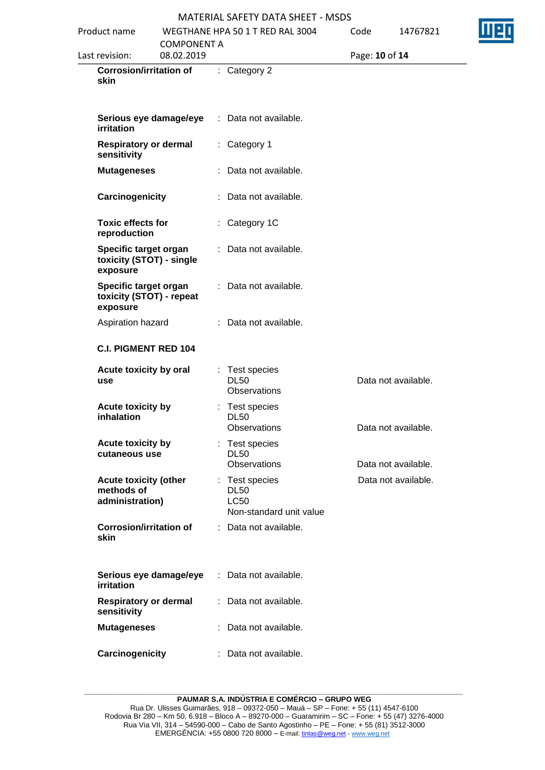| Product name                                                  |  | WEGTHANE HPA 50 1 T RED RAL 3004                                                        | Code | 14767821                                   |  |
|---------------------------------------------------------------|--|-----------------------------------------------------------------------------------------|------|--------------------------------------------|--|
| <b>COMPONENT A</b><br>08.02.2019<br>Last revision:            |  |                                                                                         |      | Page: 10 of 14                             |  |
| <b>Corrosion/irritation of</b><br>skin                        |  | $:$ Category 2                                                                          |      |                                            |  |
| Serious eye damage/eye<br><i>irritation</i>                   |  | : Data not available.                                                                   |      |                                            |  |
| <b>Respiratory or dermal</b><br>sensitivity                   |  | : Category 1                                                                            |      |                                            |  |
| <b>Mutageneses</b>                                            |  | : Data not available.                                                                   |      |                                            |  |
| Carcinogenicity                                               |  | : Data not available.                                                                   |      |                                            |  |
| <b>Toxic effects for</b><br>reproduction                      |  | : Category 1C                                                                           |      |                                            |  |
| Specific target organ<br>toxicity (STOT) - single<br>exposure |  | : Data not available.                                                                   |      |                                            |  |
| Specific target organ<br>toxicity (STOT) - repeat<br>exposure |  | : Data not available.                                                                   |      |                                            |  |
| Aspiration hazard                                             |  | : Data not available.                                                                   |      |                                            |  |
| <b>C.I. PIGMENT RED 104</b>                                   |  |                                                                                         |      |                                            |  |
| Acute toxicity by oral<br>use                                 |  | : Test species<br><b>DL50</b><br>Observations                                           |      | Data not available.                        |  |
| Acute toxicity by<br>inhalation                               |  | : Test species<br><b>DL50</b><br>Observations                                           |      | Data not available.                        |  |
| Acute toxicity by<br>cutaneous use                            |  | : Test species<br><b>DL50</b>                                                           |      |                                            |  |
| <b>Acute toxicity (other</b><br>methods of<br>administration) |  | Observations<br>: Test species<br><b>DL50</b><br><b>LC50</b><br>Non-standard unit value |      | Data not available.<br>Data not available. |  |
| <b>Corrosion/irritation of</b><br>skin                        |  | : Data not available.                                                                   |      |                                            |  |
| Serious eye damage/eye<br><b>irritation</b>                   |  | Data not available.<br>t.                                                               |      |                                            |  |
| <b>Respiratory or dermal</b><br>sensitivity                   |  | : Data not available.                                                                   |      |                                            |  |
| <b>Mutageneses</b>                                            |  | Data not available.                                                                     |      |                                            |  |
| Carcinogenicity                                               |  | : Data not available.                                                                   |      |                                            |  |
|                                                               |  |                                                                                         |      |                                            |  |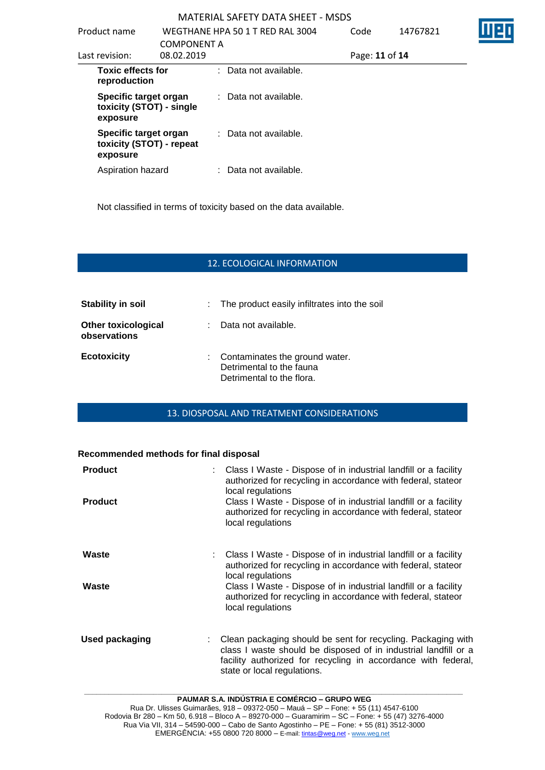| Product name                                                  | <b>COMPONENT A</b> | WEGTHANE HPA 50 1 T RED RAL 3004 | Code           | 14767821 |  |
|---------------------------------------------------------------|--------------------|----------------------------------|----------------|----------|--|
| Last revision:                                                | 08.02.2019         |                                  | Page: 11 of 14 |          |  |
| <b>Toxic effects for</b><br>reproduction                      |                    | : Data not available.            |                |          |  |
| Specific target organ<br>toxicity (STOT) - single<br>exposure |                    | : Data not available.            |                |          |  |
| Specific target organ<br>toxicity (STOT) - repeat<br>exposure |                    | : Data not available.            |                |          |  |
| Aspiration hazard                                             |                    | : Data not available.            |                |          |  |

Not classified in terms of toxicity based on the data available.

### 12. ECOLOGICAL INFORMATION

| Stability in soil                          | : The product easily infiltrates into the soil                                            |
|--------------------------------------------|-------------------------------------------------------------------------------------------|
| <b>Other toxicological</b><br>observations | Data not available.                                                                       |
| <b>Ecotoxicity</b>                         | : Contaminates the ground water.<br>Detrimental to the fauna<br>Detrimental to the flora. |

### 13. DIOSPOSAL AND TREATMENT CONSIDERATIONS

#### **Recommended methods for final disposal**

| <b>Product</b><br><b>Product</b> | Class I Waste - Dispose of in industrial landfill or a facility<br>authorized for recycling in accordance with federal, stateor<br>local regulations<br>Class I Waste - Dispose of in industrial landfill or a facility<br>authorized for recycling in accordance with federal, stateor<br>local regulations |
|----------------------------------|--------------------------------------------------------------------------------------------------------------------------------------------------------------------------------------------------------------------------------------------------------------------------------------------------------------|
| Waste                            | : Class I Waste - Dispose of in industrial landfill or a facility<br>authorized for recycling in accordance with federal, stateor<br>local regulations                                                                                                                                                       |
| Waste                            | Class I Waste - Dispose of in industrial landfill or a facility<br>authorized for recycling in accordance with federal, stateor<br>local regulations                                                                                                                                                         |
| Used packaging                   | Clean packaging should be sent for recycling. Packaging with<br>class I waste should be disposed of in industrial landfill or a<br>facility authorized for recycling in accordance with federal,<br>state or local regulations.                                                                              |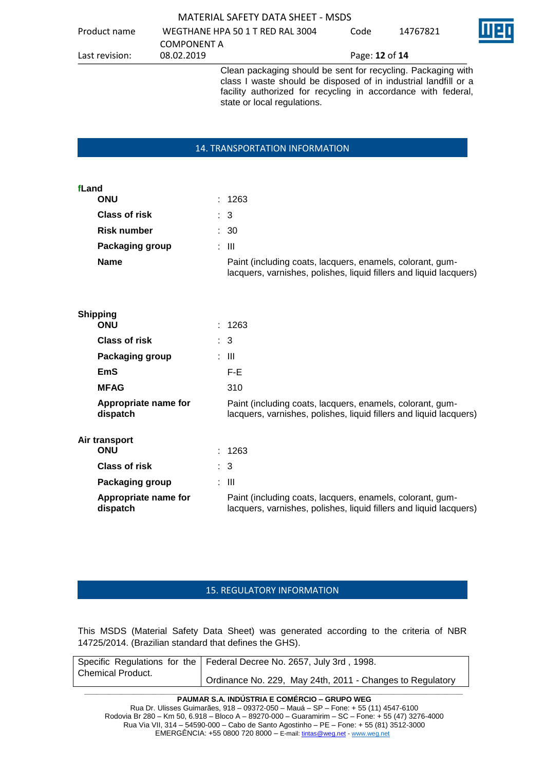| Product name   | COMPONENT A | WEGTHANE HPA 50 1 T RED RAL 3004                             | Code                         | 14767821 | HI E |
|----------------|-------------|--------------------------------------------------------------|------------------------------|----------|------|
| Last revision: | 08.02.2019  |                                                              | Page: <b>12</b> of <b>14</b> |          |      |
|                |             | Clean packaging should be sent for recycling. Packaging with |                              |          |      |

class I waste should be disposed of in industrial landfill or a facility authorized for recycling in accordance with federal, state or local regulations.

#### 14. TRANSPORTATION INFORMATION

| fLand | <b>ONU</b>                       | : 1263                                                                                                                          |
|-------|----------------------------------|---------------------------------------------------------------------------------------------------------------------------------|
|       | Class of risk                    | : 3                                                                                                                             |
|       | <b>Risk number</b>               | : 30                                                                                                                            |
|       | Packaging group                  | $\therefore$ $\blacksquare$                                                                                                     |
|       | <b>Name</b>                      | Paint (including coats, lacquers, enamels, colorant, gum-<br>lacquers, varnishes, polishes, liquid fillers and liquid lacquers) |
|       |                                  |                                                                                                                                 |
|       | <b>Shipping</b><br><b>ONU</b>    | : 1263                                                                                                                          |
|       | Class of risk                    | $\therefore$ 3                                                                                                                  |
|       | Packaging group                  | : III                                                                                                                           |
|       | <b>EmS</b>                       | F-E                                                                                                                             |
|       | <b>MFAG</b>                      | 310                                                                                                                             |
|       | Appropriate name for<br>dispatch | Paint (including coats, lacquers, enamels, colorant, gum-<br>lacquers, varnishes, polishes, liquid fillers and liquid lacquers) |
|       | Air transport                    |                                                                                                                                 |
|       | <b>ONU</b>                       | : 1263                                                                                                                          |
|       | <b>Class of risk</b>             | $\therefore$ 3                                                                                                                  |
|       | Packaging group                  | : III                                                                                                                           |
|       | Appropriate name for<br>dispatch | Paint (including coats, lacquers, enamels, colorant, gum-<br>lacquers, varnishes, polishes, liquid fillers and liquid lacquers) |

## 15. REGULATORY INFORMATION

This MSDS (Material Safety Data Sheet) was generated according to the criteria of NBR 14725/2014. (Brazilian standard that defines the GHS).

|                   | Specific Regulations for the   Federal Decree No. 2657, July 3rd, 1998. |
|-------------------|-------------------------------------------------------------------------|
| Chemical Product. | Ordinance No. 229, May 24th, 2011 - Changes to Regulatory               |

**\_\_\_\_\_\_\_\_\_\_\_\_\_\_\_\_\_\_\_\_\_\_\_\_\_\_\_\_\_\_\_\_\_\_\_\_\_\_\_\_\_\_\_\_\_\_\_\_\_\_\_\_\_\_\_\_\_\_\_\_\_\_\_\_\_\_\_\_\_\_\_\_\_\_\_\_\_\_\_\_\_\_\_\_\_\_\_\_\_\_\_\_\_**

**PAUMAR S.A. INDÚSTRIA E COMÉRCIO – GRUPO WEG** Rua Dr. Ulisses Guimarães, 918 – 09372-050 – Mauá – SP – Fone: + 55 (11) 4547-6100 Rodovia Br 280 – Km 50, 6.918 – Bloco A – 89270-000 – Guaramirim – SC – Fone: + 55 (47) 3276-4000 Rua Via VII, 314 – 54590-000 – Cabo de Santo Agostinho – PE – Fone: + 55 (81) 3512-3000 EMERGÊNCIA: +55 0800 720 8000 – E-mail[: tintas@weg.net](mailto:tintas@weg.net) - [www.weg.net](http://www.weg.net/)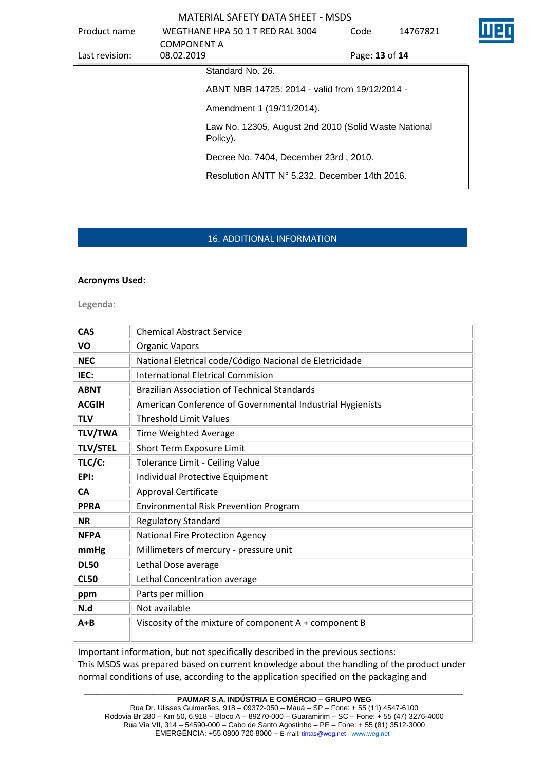| Product name   | WEGTHANE HPA 50 1 T RED RAL 3004<br><b>COMPONENT A</b><br>08.02.2019 |                                                                  | Code           | 14767821 |  |
|----------------|----------------------------------------------------------------------|------------------------------------------------------------------|----------------|----------|--|
| Last revision: |                                                                      |                                                                  | Page: 13 of 14 |          |  |
|                |                                                                      | Standard No. 26.                                                 |                |          |  |
|                |                                                                      | ABNT NBR 14725: 2014 - valid from 19/12/2014 -                   |                |          |  |
|                |                                                                      | Amendment 1 (19/11/2014).                                        |                |          |  |
|                |                                                                      | Law No. 12305, August 2nd 2010 (Solid Waste National<br>Policy). |                |          |  |
|                |                                                                      | Decree No. 7404, December 23rd, 2010.                            |                |          |  |
|                |                                                                      | Resolution ANTT N° 5.232, December 14th 2016.                    |                |          |  |

## 16. ADDITIONAL INFORMATION

#### **Acronyms Used:**

**Legenda:**

| <b>CAS</b>      | <b>Chemical Abstract Service</b>                          |  |  |  |  |
|-----------------|-----------------------------------------------------------|--|--|--|--|
| VO              | <b>Organic Vapors</b>                                     |  |  |  |  |
| <b>NEC</b>      | National Eletrical code/Código Nacional de Eletricidade   |  |  |  |  |
| IEC:            | <b>International Eletrical Commision</b>                  |  |  |  |  |
| <b>ABNT</b>     | <b>Brazilian Association of Technical Standards</b>       |  |  |  |  |
| <b>ACGIH</b>    | American Conference of Governmental Industrial Hygienists |  |  |  |  |
| <b>TLV</b>      | <b>Threshold Limit Values</b>                             |  |  |  |  |
| <b>TLV/TWA</b>  | <b>Time Weighted Average</b>                              |  |  |  |  |
| <b>TLV/STEL</b> | Short Term Exposure Limit                                 |  |  |  |  |
| TLC/C:          | Tolerance Limit - Ceiling Value                           |  |  |  |  |
| EPI:            | Individual Protective Equipment                           |  |  |  |  |
| <b>CA</b>       | <b>Approval Certificate</b>                               |  |  |  |  |
| <b>PPRA</b>     | <b>Environmental Risk Prevention Program</b>              |  |  |  |  |
| <b>NR</b>       | <b>Regulatory Standard</b>                                |  |  |  |  |
| <b>NFPA</b>     | <b>National Fire Protection Agency</b>                    |  |  |  |  |
| mmHg            | Millimeters of mercury - pressure unit                    |  |  |  |  |
| <b>DL50</b>     | Lethal Dose average                                       |  |  |  |  |
| <b>CL50</b>     | Lethal Concentration average                              |  |  |  |  |
| ppm             | Parts per million                                         |  |  |  |  |
| N.d             | Not available                                             |  |  |  |  |
| $A + B$         | Viscosity of the mixture of component A + component B     |  |  |  |  |

Important information, but not specifically described in the previous sections: This MSDS was prepared based on current knowledge about the handling of the product under normal conditions of use, according to the application specified on the packaging and

**\_\_\_\_\_\_\_\_\_\_\_\_\_\_\_\_\_\_\_\_\_\_\_\_\_\_\_\_\_\_\_\_\_\_\_\_\_\_\_\_\_\_\_\_\_\_\_\_\_\_\_\_\_\_\_\_\_\_\_\_\_\_\_\_\_\_\_\_\_\_\_\_\_\_\_\_\_\_\_\_\_\_\_\_\_\_\_\_\_\_\_\_\_**

**PAUMAR S.A. INDÚSTRIA E COMÉRCIO – GRUPO WEG** Rua Dr. Ulisses Guimarães, 918 – 09372-050 – Mauá – SP – Fone: + 55 (11) 4547-6100 Rodovia Br 280 – Km 50, 6.918 – Bloco A – 89270-000 – Guaramirim – SC – Fone: + 55 (47) 3276-4000 Rua Via VII, 314 – 54590-000 – Cabo de Santo Agostinho – PE – Fone: + 55 (81) 3512-3000 EMERGÊNCIA: +55 0800 720 8000 – E-mail[: tintas@weg.net](mailto:tintas@weg.net) - [www.weg.net](http://www.weg.net/)